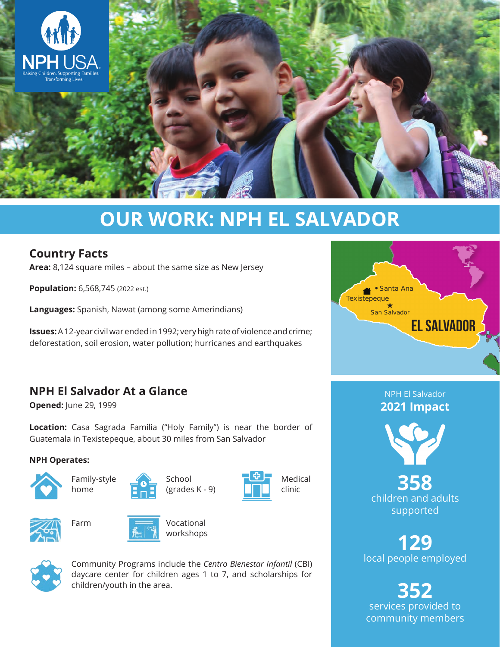

# **OUR WORK: NPH EL SALVADOR**

## **Country Facts**

**Area:** 8,124 square miles – about the same size as New Jersey

**Population:** 6,568,745 (2022 est.)

**Languages:** Spanish, Nawat (among some Amerindians)

**Issues:** A 12-year civil war ended in 1992; very high rate of violence and crime; deforestation, soil erosion, water pollution; hurricanes and earthquakes

# **NPH El Salvador At a Glance**

**Opened:** June 29, 1999

**Location:** Casa Sagrada Familia ("Holy Family") is near the border of Guatemala in Texistepeque, about 30 miles from San Salvador

#### **NPH Operates:**





Farm



School (grades K - 9)









Community Programs include the *Centro Bienestar Infantil* (CBI) daycare center for children ages 1 to 7, and scholarships for children/youth in the area.



NPH El Salvador **2021 Impact**



**358** children and adults supported

**129** local people employed

**352** services provided to community members